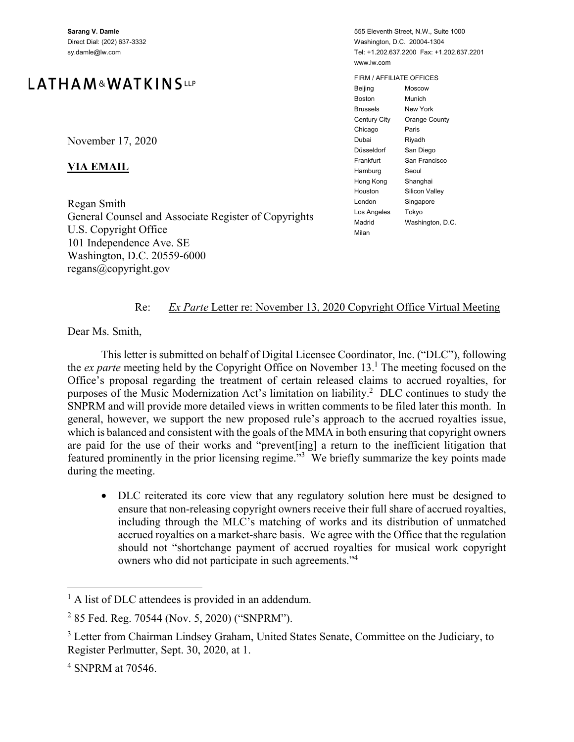**Sarang V. Damle**  Direct Dial: (202) 637-3332 sy.damle@lw.com

# LATHAM&WATKINSLLP

November 17, 2020

#### **VIA EMAIL**

Regan Smith General Counsel and Associate Register of Copyrights U.S. Copyright Office 101 Independence Ave. SE Washington, D.C. 20559-6000 regans@copyright.gov

555 Eleventh Street, N.W., Suite 1000 Washington, D.C. 20004-1304 Tel: +1.202.637.2200 Fax: +1.202.637.2201 www.lw.com

FIRM / AFFILIATE OFFICES Beijing Moscow Boston Munich Brussels New York Century City Orange County Chicago Paris Dubai Riyadh Düsseldorf San Diego Frankfurt San Francisco Hamburg Seoul Hong Kong Shanghai Houston Silicon Valley London Singapore Los Angeles Tokyo Madrid Washington, D.C. Milan

#### Re: *Ex Parte* Letter re: November 13, 2020 Copyright Office Virtual Meeting

Dear Ms. Smith,

This letter is submitted on behalf of Digital Licensee Coordinator, Inc. ("DLC"), following the *ex parte* meeting held by the Copyright Office on November 13.<sup>1</sup> The meeting focused on the Office's proposal regarding the treatment of certain released claims to accrued royalties, for purposes of the Music Modernization Act's limitation on liability.<sup>2</sup> DLC continues to study the SNPRM and will provide more detailed views in written comments to be filed later this month. In general, however, we support the new proposed rule's approach to the accrued royalties issue, which is balanced and consistent with the goals of the MMA in both ensuring that copyright owners are paid for the use of their works and "prevent[ing] a return to the inefficient litigation that featured prominently in the prior licensing regime."<sup>3</sup> We briefly summarize the key points made during the meeting.

• DLC reiterated its core view that any regulatory solution here must be designed to ensure that non-releasing copyright owners receive their full share of accrued royalties, including through the MLC's matching of works and its distribution of unmatched accrued royalties on a market-share basis. We agree with the Office that the regulation should not "shortchange payment of accrued royalties for musical work copyright owners who did not participate in such agreements."4

 $\overline{a}$ 

<sup>&</sup>lt;sup>1</sup> A list of DLC attendees is provided in an addendum.

<sup>&</sup>lt;sup>2</sup> 85 Fed. Reg. 70544 (Nov. 5, 2020) ("SNPRM").

<sup>&</sup>lt;sup>3</sup> Letter from Chairman Lindsey Graham, United States Senate, Committee on the Judiciary, to Register Perlmutter, Sept. 30, 2020, at 1.

<sup>4</sup> SNPRM at 70546.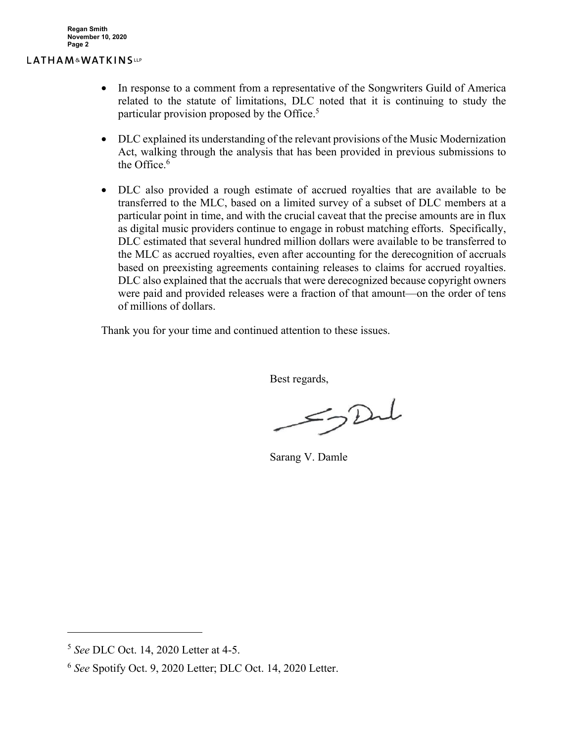#### LATHAM&WATKINSLLP

- In response to a comment from a representative of the Songwriters Guild of America related to the statute of limitations, DLC noted that it is continuing to study the particular provision proposed by the Office.<sup>5</sup>
- DLC explained its understanding of the relevant provisions of the Music Modernization Act, walking through the analysis that has been provided in previous submissions to the Office. $^6$
- DLC also provided a rough estimate of accrued royalties that are available to be transferred to the MLC, based on a limited survey of a subset of DLC members at a particular point in time, and with the crucial caveat that the precise amounts are in flux as digital music providers continue to engage in robust matching efforts. Specifically, DLC estimated that several hundred million dollars were available to be transferred to the MLC as accrued royalties, even after accounting for the derecognition of accruals based on preexisting agreements containing releases to claims for accrued royalties. DLC also explained that the accruals that were derecognized because copyright owners were paid and provided releases were a fraction of that amount—on the order of tens of millions of dollars.

Thank you for your time and continued attention to these issues.

Best regards,

 $52$ 

Sarang V. Damle

1

<sup>5</sup> *See* DLC Oct. 14, 2020 Letter at 4-5.

<sup>6</sup> *See* Spotify Oct. 9, 2020 Letter; DLC Oct. 14, 2020 Letter.